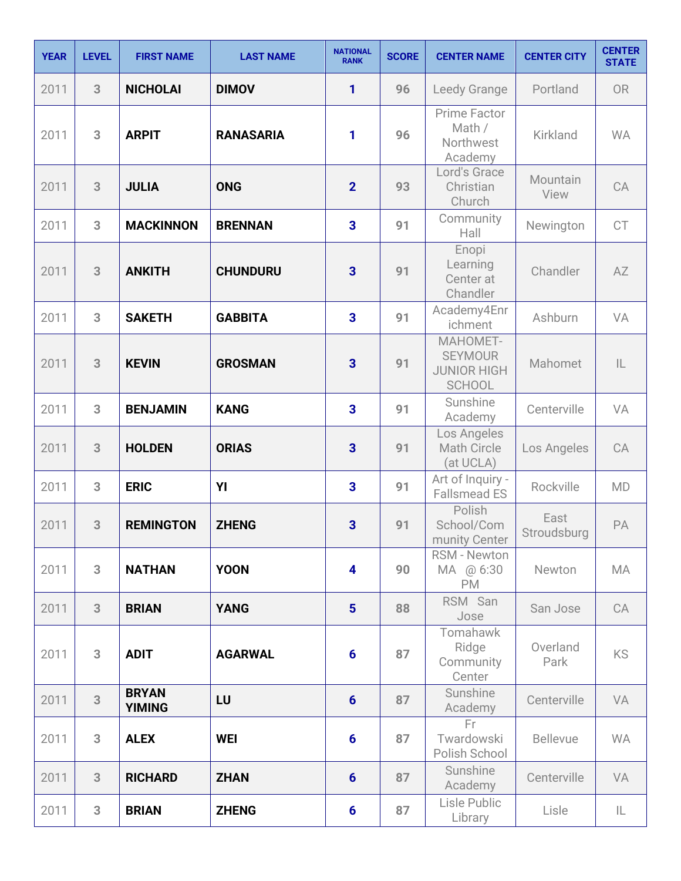| <b>YEAR</b> | <b>LEVEL</b> | <b>FIRST NAME</b>             | <b>LAST NAME</b> | <b>NATIONAL</b><br><b>RANK</b> | <b>SCORE</b> | <b>CENTER NAME</b>                                                | <b>CENTER CITY</b>  | <b>CENTER</b><br><b>STATE</b> |
|-------------|--------------|-------------------------------|------------------|--------------------------------|--------------|-------------------------------------------------------------------|---------------------|-------------------------------|
| 2011        | 3            | <b>NICHOLAI</b>               | <b>DIMOV</b>     | 1                              | 96           | Leedy Grange                                                      | Portland            | <b>OR</b>                     |
| 2011        | 3            | <b>ARPIT</b>                  | <b>RANASARIA</b> | 1                              | 96           | Prime Factor<br>Math /<br>Northwest<br>Academy                    | Kirkland            | <b>WA</b>                     |
| 2011        | 3            | <b>JULIA</b>                  | <b>ONG</b>       | $\overline{2}$                 | 93           | Lord's Grace<br>Christian<br>Church                               | Mountain<br>View    | CA                            |
| 2011        | 3            | <b>MACKINNON</b>              | <b>BRENNAN</b>   | 3                              | 91           | Community<br>Hall                                                 | Newington           | <b>CT</b>                     |
| 2011        | 3            | <b>ANKITH</b>                 | <b>CHUNDURU</b>  | $\overline{3}$                 | 91           | Enopi<br>Learning<br>Center at<br>Chandler                        | Chandler            | AZ                            |
| 2011        | 3            | <b>SAKETH</b>                 | <b>GABBITA</b>   | $\overline{\mathbf{3}}$        | 91           | Academy4Enr<br>ichment                                            | Ashburn             | VA                            |
| 2011        | 3            | <b>KEVIN</b>                  | <b>GROSMAN</b>   | $\overline{3}$                 | 91           | MAHOMET-<br><b>SEYMOUR</b><br><b>JUNIOR HIGH</b><br><b>SCHOOL</b> | Mahomet             | $\mathsf{IL}$                 |
| 2011        | 3            | <b>BENJAMIN</b>               | <b>KANG</b>      | 3                              | 91           | Sunshine<br>Academy                                               | Centerville         | VA                            |
| 2011        | 3            | <b>HOLDEN</b>                 | <b>ORIAS</b>     | 3                              | 91           | Los Angeles<br><b>Math Circle</b><br>(at UCLA)                    | Los Angeles         | CA                            |
| 2011        | 3            | <b>ERIC</b>                   | YI               | 3                              | 91           | Art of Inquiry -<br><b>Fallsmead ES</b>                           | Rockville           | <b>MD</b>                     |
| 2011        | 3            | <b>REMINGTON</b>              | <b>ZHENG</b>     | 3                              | 91           | Polish<br>School/Com<br>munity Center                             | East<br>Stroudsburg | PA                            |
| 2011        | 3            | <b>NATHAN</b>                 | <b>YOON</b>      | $\overline{\mathbf{4}}$        | 90           | <b>RSM - Newton</b><br>MA @ 6:30<br><b>PM</b>                     | Newton              | MA                            |
| 2011        | 3            | <b>BRIAN</b>                  | <b>YANG</b>      | $5\phantom{1}$                 | 88           | RSM San<br>Jose                                                   | San Jose            | CA                            |
| 2011        | 3            | <b>ADIT</b>                   | <b>AGARWAL</b>   | $6\phantom{1}6$                | 87           | Tomahawk<br>Ridge<br>Community<br>Center                          | Overland<br>Park    | KS                            |
| 2011        | 3            | <b>BRYAN</b><br><b>YIMING</b> | LU               | $6\phantom{1}6$                | 87           | Sunshine<br>Academy                                               | Centerville         | VA                            |
| 2011        | 3            | <b>ALEX</b>                   | <b>WEI</b>       | $6\phantom{1}$                 | 87           | Fr.<br>Twardowski<br>Polish School                                | <b>Bellevue</b>     | <b>WA</b>                     |
| 2011        | 3            | <b>RICHARD</b>                | <b>ZHAN</b>      | $6\phantom{1}$                 | 87           | Sunshine<br>Academy                                               | Centerville         | VA                            |
| 2011        | 3            | <b>BRIAN</b>                  | <b>ZHENG</b>     | 6                              | 87           | Lisle Public<br>Library                                           | Lisle               | IL                            |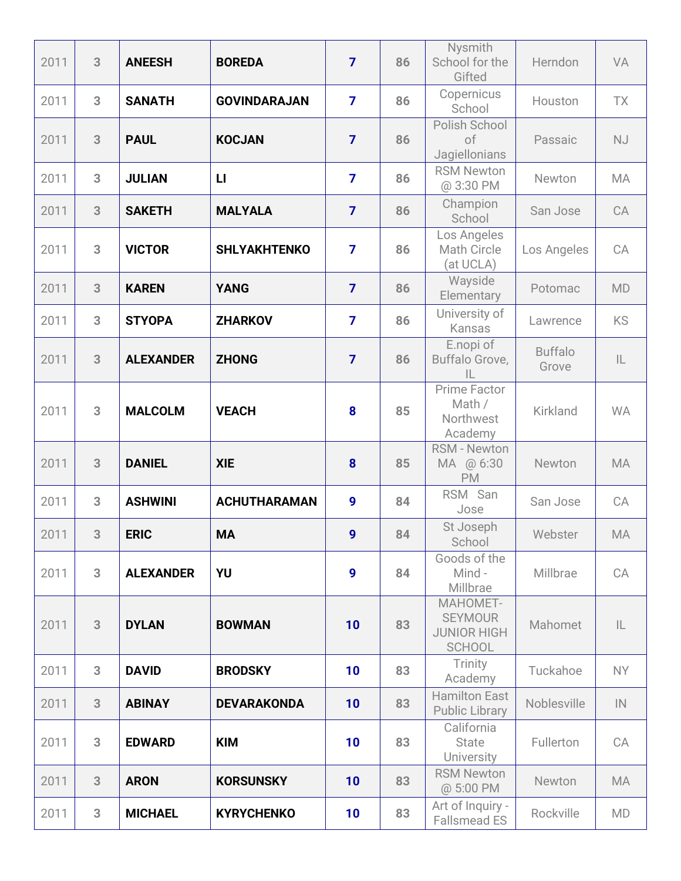| 2011 | 3 | <b>ANEESH</b>    | <b>BOREDA</b>       | $\overline{7}$ | 86 | Nysmith<br>School for the<br>Gifted                               | Herndon                 | VA            |
|------|---|------------------|---------------------|----------------|----|-------------------------------------------------------------------|-------------------------|---------------|
| 2011 | 3 | <b>SANATH</b>    | <b>GOVINDARAJAN</b> | $\overline{7}$ | 86 | Copernicus<br>School                                              | Houston                 | <b>TX</b>     |
| 2011 | 3 | <b>PAUL</b>      | <b>KOCJAN</b>       | $\overline{7}$ | 86 | Polish School<br>of<br>Jagiellonians                              | Passaic                 | <b>NJ</b>     |
| 2011 | 3 | <b>JULIAN</b>    | $\mathbf{L}$        | $\overline{7}$ | 86 | <b>RSM Newton</b><br>@ 3:30 PM                                    | Newton                  | <b>MA</b>     |
| 2011 | 3 | <b>SAKETH</b>    | <b>MALYALA</b>      | $\overline{7}$ | 86 | Champion<br>School                                                | San Jose                | CA            |
| 2011 | 3 | <b>VICTOR</b>    | <b>SHLYAKHTENKO</b> | $\overline{7}$ | 86 | Los Angeles<br>Math Circle<br>(at UCLA)                           | Los Angeles             | CA            |
| 2011 | 3 | <b>KAREN</b>     | <b>YANG</b>         | $\overline{7}$ | 86 | Wayside<br>Elementary                                             | Potomac                 | <b>MD</b>     |
| 2011 | 3 | <b>STYOPA</b>    | <b>ZHARKOV</b>      | $\overline{7}$ | 86 | University of<br>Kansas                                           | Lawrence                | <b>KS</b>     |
| 2011 | 3 | <b>ALEXANDER</b> | <b>ZHONG</b>        | $\overline{7}$ | 86 | E.nopi of<br>Buffalo Grove,<br>$\mathbb{L}$                       | <b>Buffalo</b><br>Grove | $\mathsf{IL}$ |
| 2011 | 3 | <b>MALCOLM</b>   | <b>VEACH</b>        | 8              | 85 | <b>Prime Factor</b><br>Math /<br>Northwest<br>Academy             | Kirkland                | <b>WA</b>     |
| 2011 | 3 | <b>DANIEL</b>    | <b>XIE</b>          | 8              | 85 | <b>RSM - Newton</b><br>MA @ 6:30<br><b>PM</b>                     | Newton                  | <b>MA</b>     |
| 2011 | 3 | <b>ASHWINI</b>   | <b>ACHUTHARAMAN</b> | 9              | 84 | RSM San<br>Jose                                                   | San Jose                | CA            |
| 2011 | 3 | <b>ERIC</b>      | <b>MA</b>           | 9              | 84 | St Joseph<br>School                                               | Webster                 | MA            |
| 2011 | 3 | <b>ALEXANDER</b> | YU                  | 9              | 84 | Goods of the<br>Mind-<br>Millbrae                                 | Millbrae                | CA            |
| 2011 | 3 | <b>DYLAN</b>     | <b>BOWMAN</b>       | 10             | 83 | MAHOMET-<br><b>SEYMOUR</b><br><b>JUNIOR HIGH</b><br><b>SCHOOL</b> | Mahomet                 | $\mathsf{IL}$ |
| 2011 | 3 | <b>DAVID</b>     | <b>BRODSKY</b>      | 10             | 83 | Trinity<br>Academy                                                | Tuckahoe                | NY.           |
| 2011 | 3 | <b>ABINAY</b>    | <b>DEVARAKONDA</b>  | 10             | 83 | <b>Hamilton East</b><br><b>Public Library</b>                     | Noblesville             | IN            |
| 2011 | 3 | <b>EDWARD</b>    | <b>KIM</b>          | 10             | 83 | California<br><b>State</b><br><b>University</b>                   | Fullerton               | CA            |
| 2011 | 3 | <b>ARON</b>      | <b>KORSUNSKY</b>    | 10             | 83 | <b>RSM Newton</b><br>@ 5:00 PM                                    | Newton                  | <b>MA</b>     |
| 2011 | 3 | <b>MICHAEL</b>   | <b>KYRYCHENKO</b>   | 10             | 83 | Art of Inquiry -<br><b>Fallsmead ES</b>                           | Rockville               | <b>MD</b>     |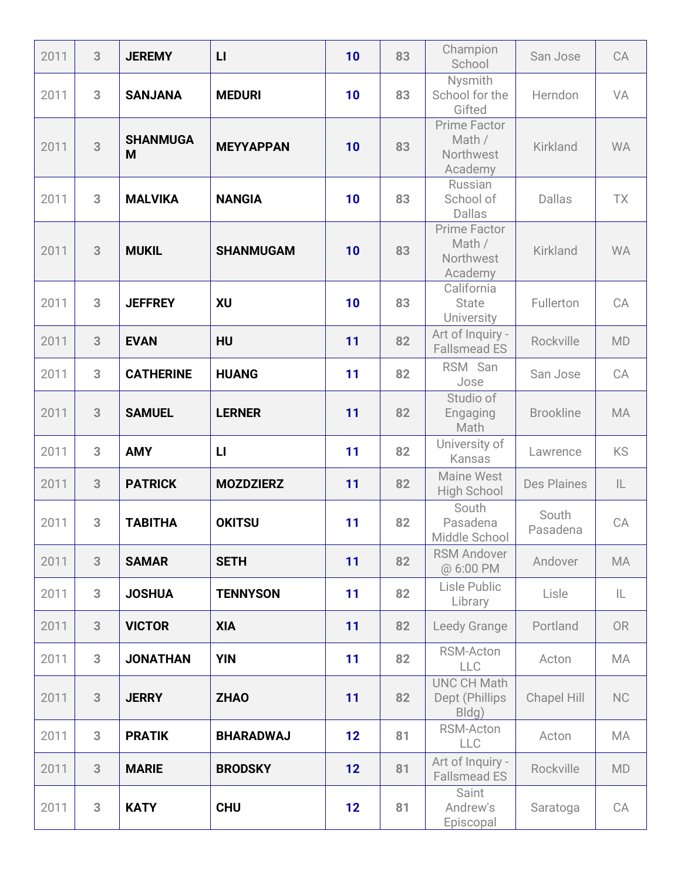| 2011 | 3 | <b>JEREMY</b>        | $\mathsf{L}$     | 10 | 83 | Champion<br>School                                    | San Jose           | CA            |
|------|---|----------------------|------------------|----|----|-------------------------------------------------------|--------------------|---------------|
| 2011 | 3 | <b>SANJANA</b>       | <b>MEDURI</b>    | 10 | 83 | Nysmith<br>School for the<br>Gifted                   | Herndon            | VA            |
| 2011 | 3 | <b>SHANMUGA</b><br>M | <b>MEYYAPPAN</b> | 10 | 83 | Prime Factor<br>Math /<br>Northwest<br>Academy        | Kirkland           | <b>WA</b>     |
| 2011 | 3 | <b>MALVIKA</b>       | <b>NANGIA</b>    | 10 | 83 | Russian<br>School of<br><b>Dallas</b>                 | <b>Dallas</b>      | <b>TX</b>     |
| 2011 | 3 | <b>MUKIL</b>         | <b>SHANMUGAM</b> | 10 | 83 | <b>Prime Factor</b><br>Math /<br>Northwest<br>Academy | <b>Kirkland</b>    | <b>WA</b>     |
| 2011 | 3 | <b>JEFFREY</b>       | XU               | 10 | 83 | California<br><b>State</b><br>University              | Fullerton          | CA            |
| 2011 | 3 | <b>EVAN</b>          | <b>HU</b>        | 11 | 82 | Art of Inquiry -<br><b>Fallsmead ES</b>               | Rockville          | <b>MD</b>     |
| 2011 | 3 | <b>CATHERINE</b>     | <b>HUANG</b>     | 11 | 82 | RSM San<br>Jose                                       | San Jose           | CA            |
| 2011 | 3 | <b>SAMUEL</b>        | <b>LERNER</b>    | 11 | 82 | Studio of<br>Engaging<br>Math                         | <b>Brookline</b>   | MA            |
| 2011 | 3 | <b>AMY</b>           | $\mathsf{L}$     | 11 | 82 | University of<br>Kansas                               | Lawrence           | <b>KS</b>     |
| 2011 | 3 | <b>PATRICK</b>       | <b>MOZDZIERZ</b> | 11 | 82 | Maine West<br><b>High School</b>                      | <b>Des Plaines</b> | $\mathsf{IL}$ |
| 2011 | 3 | <b>TABITHA</b>       | <b>OKITSU</b>    | 11 | 82 | South<br>Pasadena<br>Middle School                    | South<br>Pasadena  | CA            |
| 2011 | 3 | <b>SAMAR</b>         | <b>SETH</b>      | 11 | 82 | <b>RSM Andover</b><br>@ 6:00 PM                       | Andover            | MA            |
| 2011 | 3 | <b>JOSHUA</b>        | <b>TENNYSON</b>  | 11 | 82 | Lisle Public<br>Library                               | Lisle              | IL.           |
| 2011 | 3 | <b>VICTOR</b>        | XIA              | 11 | 82 | Leedy Grange                                          | Portland           | <b>OR</b>     |
| 2011 | 3 | <b>JONATHAN</b>      | <b>YIN</b>       | 11 | 82 | RSM-Acton<br><b>LLC</b>                               | Acton              | MA            |
| 2011 | 3 | <b>JERRY</b>         | <b>ZHAO</b>      | 11 | 82 | <b>UNC CH Math</b><br>Dept (Phillips<br>Bldg)         | <b>Chapel Hill</b> | <b>NC</b>     |
| 2011 | 3 | <b>PRATIK</b>        | <b>BHARADWAJ</b> | 12 | 81 | RSM-Acton<br><b>LLC</b>                               | Acton              | MA            |
| 2011 | 3 | <b>MARIE</b>         | <b>BRODSKY</b>   | 12 | 81 | Art of Inquiry -<br><b>Fallsmead ES</b>               | Rockville          | <b>MD</b>     |
| 2011 | 3 | <b>KATY</b>          | <b>CHU</b>       | 12 | 81 | Saint<br>Andrew's<br>Episcopal                        | Saratoga           | CA            |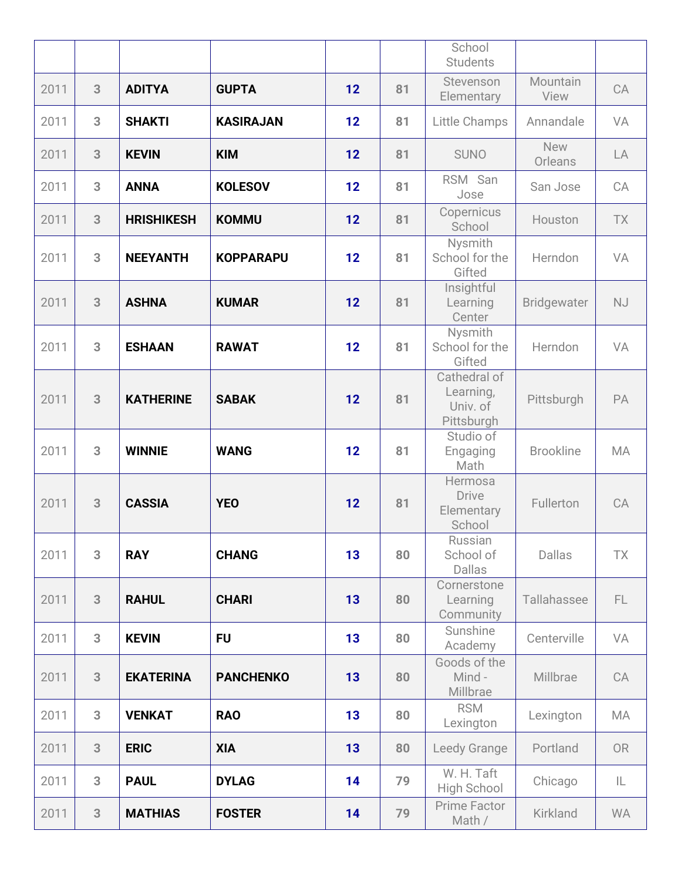|      |   |                   |                  |    |    | School<br><b>Students</b>                           |                       |           |
|------|---|-------------------|------------------|----|----|-----------------------------------------------------|-----------------------|-----------|
| 2011 | 3 | <b>ADITYA</b>     | <b>GUPTA</b>     | 12 | 81 | Stevenson<br>Elementary                             | Mountain<br>View      | CA        |
| 2011 | 3 | <b>SHAKTI</b>     | <b>KASIRAJAN</b> | 12 | 81 | Little Champs                                       | Annandale             | VA        |
| 2011 | 3 | <b>KEVIN</b>      | <b>KIM</b>       | 12 | 81 | <b>SUNO</b>                                         | <b>New</b><br>Orleans | LA        |
| 2011 | 3 | <b>ANNA</b>       | <b>KOLESOV</b>   | 12 | 81 | RSM San<br>Jose                                     | San Jose              | CA        |
| 2011 | 3 | <b>HRISHIKESH</b> | <b>KOMMU</b>     | 12 | 81 | Copernicus<br>School                                | Houston               | <b>TX</b> |
| 2011 | 3 | <b>NEEYANTH</b>   | <b>KOPPARAPU</b> | 12 | 81 | Nysmith<br>School for the<br>Gifted                 | Herndon               | VA        |
| 2011 | 3 | <b>ASHNA</b>      | <b>KUMAR</b>     | 12 | 81 | Insightful<br>Learning<br>Center                    | <b>Bridgewater</b>    | <b>NJ</b> |
| 2011 | 3 | <b>ESHAAN</b>     | <b>RAWAT</b>     | 12 | 81 | Nysmith<br>School for the<br>Gifted                 | Herndon               | VA        |
| 2011 | 3 | <b>KATHERINE</b>  | <b>SABAK</b>     | 12 | 81 | Cathedral of<br>Learning,<br>Univ. of<br>Pittsburgh | Pittsburgh            | PA        |
| 2011 | 3 | <b>WINNIE</b>     | <b>WANG</b>      | 12 | 81 | Studio of<br>Engaging<br>Math                       | <b>Brookline</b>      | MA        |
| 2011 | 3 | <b>CASSIA</b>     | <b>YEO</b>       | 12 | 81 | Hermosa<br><b>Drive</b><br>Elementary<br>School     | Fullerton             | CA        |
| 2011 | 3 | <b>RAY</b>        | <b>CHANG</b>     | 13 | 80 | Russian<br>School of<br><b>Dallas</b>               | <b>Dallas</b>         | TX        |
| 2011 | 3 | <b>RAHUL</b>      | <b>CHARI</b>     | 13 | 80 | Cornerstone<br>Learning<br>Community                | Tallahassee           | FL.       |
| 2011 | 3 | <b>KEVIN</b>      | <b>FU</b>        | 13 | 80 | Sunshine<br>Academy                                 | Centerville           | VA        |
| 2011 | 3 | <b>EKATERINA</b>  | <b>PANCHENKO</b> | 13 | 80 | Goods of the<br>Mind -<br>Millbrae                  | Millbrae              | CA        |
| 2011 | 3 | <b>VENKAT</b>     | <b>RAO</b>       | 13 | 80 | <b>RSM</b><br>Lexington                             | Lexington             | MA        |
| 2011 | 3 | <b>ERIC</b>       | <b>XIA</b>       | 13 | 80 | Leedy Grange                                        | Portland              | <b>OR</b> |
| 2011 | 3 | <b>PAUL</b>       | <b>DYLAG</b>     | 14 | 79 | W. H. Taft<br>High School                           | Chicago               | IL        |
| 2011 | 3 | <b>MATHIAS</b>    | <b>FOSTER</b>    | 14 | 79 | Prime Factor<br>Math /                              | Kirkland              | <b>WA</b> |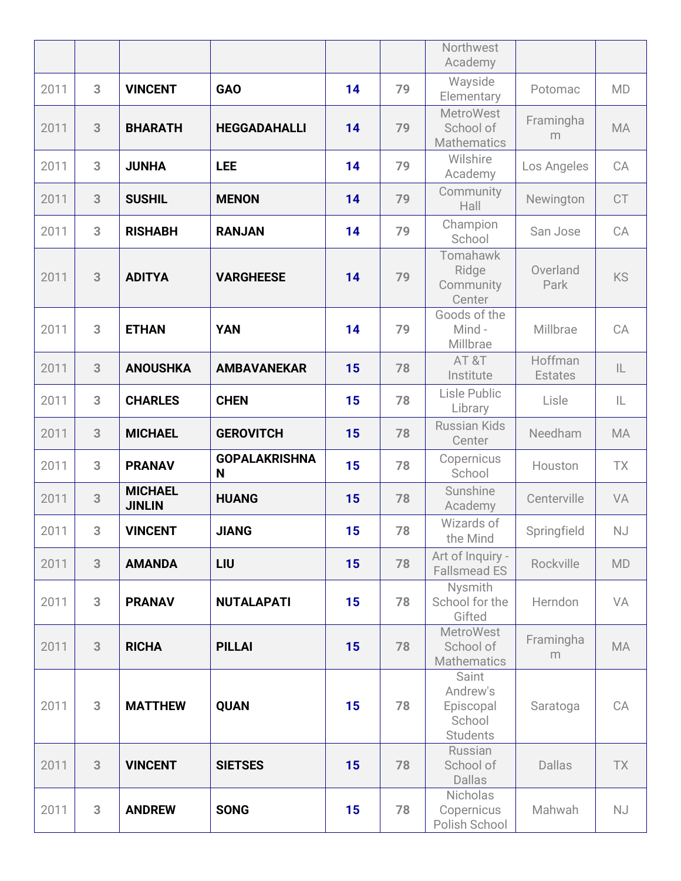|      |   |                                 |                           |    |    | Northwest<br>Academy                                        |                           |               |
|------|---|---------------------------------|---------------------------|----|----|-------------------------------------------------------------|---------------------------|---------------|
| 2011 | 3 | <b>VINCENT</b>                  | <b>GAO</b>                | 14 | 79 | Wayside<br>Elementary                                       | Potomac                   | <b>MD</b>     |
| 2011 | 3 | <b>BHARATH</b>                  | <b>HEGGADAHALLI</b>       | 14 | 79 | <b>MetroWest</b><br>School of<br><b>Mathematics</b>         | Framingha<br>m            | <b>MA</b>     |
| 2011 | 3 | <b>JUNHA</b>                    | <b>LEE</b>                | 14 | 79 | Wilshire<br>Academy                                         | Los Angeles               | CA            |
| 2011 | 3 | <b>SUSHIL</b>                   | <b>MENON</b>              | 14 | 79 | Community<br>Hall                                           | Newington                 | CT            |
| 2011 | 3 | <b>RISHABH</b>                  | <b>RANJAN</b>             | 14 | 79 | Champion<br>School                                          | San Jose                  | CA            |
| 2011 | 3 | <b>ADITYA</b>                   | <b>VARGHEESE</b>          | 14 | 79 | Tomahawk<br>Ridge<br>Community<br>Center                    | Overland<br>Park          | <b>KS</b>     |
| 2011 | 3 | <b>ETHAN</b>                    | <b>YAN</b>                | 14 | 79 | Goods of the<br>Mind -<br>Millbrae                          | Millbrae                  | CA            |
| 2011 | 3 | <b>ANOUSHKA</b>                 | <b>AMBAVANEKAR</b>        | 15 | 78 | AT&T<br>Institute                                           | Hoffman<br><b>Estates</b> | $\mathsf{IL}$ |
| 2011 | 3 | <b>CHARLES</b>                  | <b>CHEN</b>               | 15 | 78 | Lisle Public<br>Library                                     | Lisle                     | IL            |
| 2011 | 3 | <b>MICHAEL</b>                  | <b>GEROVITCH</b>          | 15 | 78 | <b>Russian Kids</b><br>Center                               | Needham                   | <b>MA</b>     |
| 2011 | 3 | <b>PRANAV</b>                   | <b>GOPALAKRISHNA</b><br>N | 15 | 78 | Copernicus<br>School                                        | Houston                   | <b>TX</b>     |
| 2011 | 3 | <b>MICHAEL</b><br><b>JINLIN</b> | <b>HUANG</b>              | 15 | 78 | Sunshine<br>Academy                                         | Centerville               | VA            |
| 2011 | 3 | <b>VINCENT</b>                  | <b>JIANG</b>              | 15 | 78 | Wizards of<br>the Mind                                      | Springfield               | NJ            |
| 2011 | 3 | <b>AMANDA</b>                   | LIU                       | 15 | 78 | Art of Inquiry -<br><b>Fallsmead ES</b>                     | Rockville                 | <b>MD</b>     |
| 2011 | 3 | <b>PRANAV</b>                   | <b>NUTALAPATI</b>         | 15 | 78 | Nysmith<br>School for the<br>Gifted                         | Herndon                   | VA            |
| 2011 | 3 | <b>RICHA</b>                    | <b>PILLAI</b>             | 15 | 78 | <b>MetroWest</b><br>School of<br><b>Mathematics</b>         | Framingha<br>m            | <b>MA</b>     |
| 2011 | 3 | <b>MATTHEW</b>                  | <b>QUAN</b>               | 15 | 78 | Saint<br>Andrew's<br>Episcopal<br>School<br><b>Students</b> | Saratoga                  | CA            |
| 2011 | 3 | <b>VINCENT</b>                  | <b>SIETSES</b>            | 15 | 78 | Russian<br>School of<br><b>Dallas</b>                       | <b>Dallas</b>             | TX            |
| 2011 | 3 | <b>ANDREW</b>                   | <b>SONG</b>               | 15 | 78 | Nicholas<br>Copernicus<br>Polish School                     | Mahwah                    | NJ            |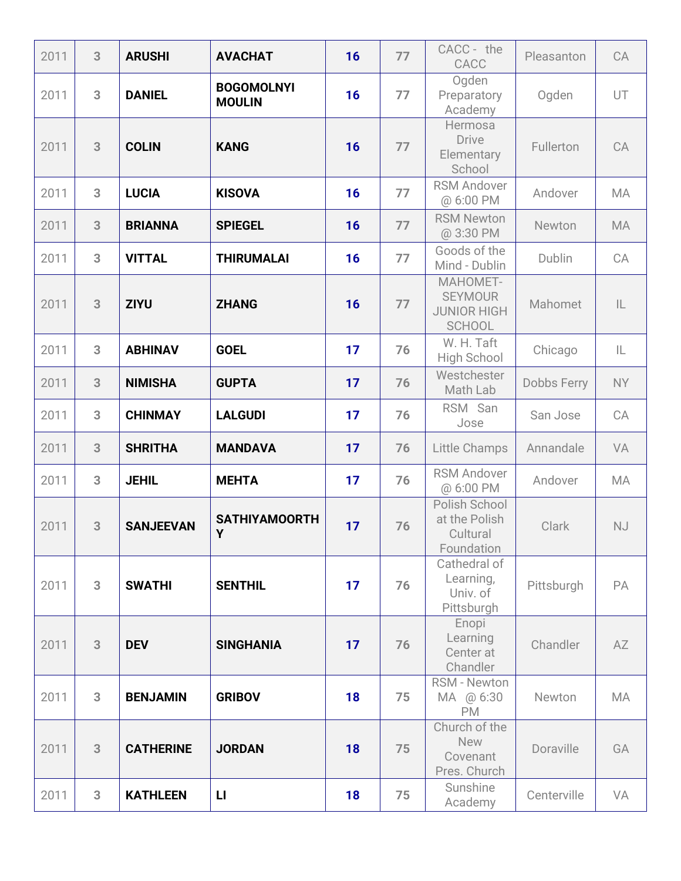| 2011 | 3 | <b>ARUSHI</b>    | <b>AVACHAT</b>                     | 16 | 77 | CACC - the<br>CACC                                                | Pleasanton         | CA            |
|------|---|------------------|------------------------------------|----|----|-------------------------------------------------------------------|--------------------|---------------|
| 2011 | 3 | <b>DANIEL</b>    | <b>BOGOMOLNYI</b><br><b>MOULIN</b> | 16 | 77 | Ogden<br>Preparatory<br>Academy                                   | Ogden              | UT            |
| 2011 | 3 | <b>COLIN</b>     | <b>KANG</b>                        | 16 | 77 | <b>Hermosa</b><br><b>Drive</b><br>Elementary<br>School            | Fullerton          | CA            |
| 2011 | 3 | <b>LUCIA</b>     | <b>KISOVA</b>                      | 16 | 77 | <b>RSM Andover</b><br>@ 6:00 PM                                   | Andover            | <b>MA</b>     |
| 2011 | 3 | <b>BRIANNA</b>   | <b>SPIEGEL</b>                     | 16 | 77 | <b>RSM Newton</b><br>@ 3:30 PM                                    | Newton             | MA            |
| 2011 | 3 | <b>VITTAL</b>    | <b>THIRUMALAI</b>                  | 16 | 77 | Goods of the<br>Mind - Dublin                                     | Dublin             | CA            |
| 2011 | 3 | <b>ZIYU</b>      | <b>ZHANG</b>                       | 16 | 77 | MAHOMET-<br><b>SEYMOUR</b><br><b>JUNIOR HIGH</b><br><b>SCHOOL</b> | Mahomet            | $\mathsf{IL}$ |
| 2011 | 3 | <b>ABHINAV</b>   | <b>GOEL</b>                        | 17 | 76 | W. H. Taft<br>High School                                         | Chicago            | IL            |
| 2011 | 3 | <b>NIMISHA</b>   | <b>GUPTA</b>                       | 17 | 76 | Westchester<br>Math Lab                                           | <b>Dobbs Ferry</b> | <b>NY</b>     |
| 2011 | 3 | <b>CHINMAY</b>   | <b>LALGUDI</b>                     | 17 | 76 | RSM San<br>Jose                                                   | San Jose           | CA            |
| 2011 | 3 | <b>SHRITHA</b>   | <b>MANDAVA</b>                     | 17 | 76 | Little Champs                                                     | Annandale          | VA            |
| 2011 | 3 | <b>JEHIL</b>     | <b>MEHTA</b>                       | 17 | 76 | <b>RSM Andover</b><br>@ 6:00 PM                                   | Andover            | MA            |
| 2011 | 3 | <b>SANJEEVAN</b> | <b>SATHIYAMOORTH</b><br>Υ          | 17 | 76 | Polish School<br>at the Polish<br>Cultural<br>Foundation          | Clark              | <b>NJ</b>     |
| 2011 | 3 | <b>SWATHI</b>    | <b>SENTHIL</b>                     | 17 | 76 | Cathedral of<br>Learning,<br>Univ. of<br>Pittsburgh               | Pittsburgh         | PA            |
| 2011 | 3 | <b>DEV</b>       | <b>SINGHANIA</b>                   | 17 | 76 | Enopi<br>Learning<br>Center at<br>Chandler                        | Chandler           | AZ            |
| 2011 | 3 | <b>BENJAMIN</b>  | <b>GRIBOV</b>                      | 18 | 75 | <b>RSM - Newton</b><br>MA @ 6:30<br><b>PM</b>                     | Newton             | MA            |
| 2011 | 3 | <b>CATHERINE</b> | <b>JORDAN</b>                      | 18 | 75 | Church of the<br><b>New</b><br>Covenant<br>Pres. Church           | Doraville          | GA            |
| 2011 | 3 | <b>KATHLEEN</b>  | $\mathsf{L}$                       | 18 | 75 | Sunshine<br>Academy                                               | Centerville        | VA            |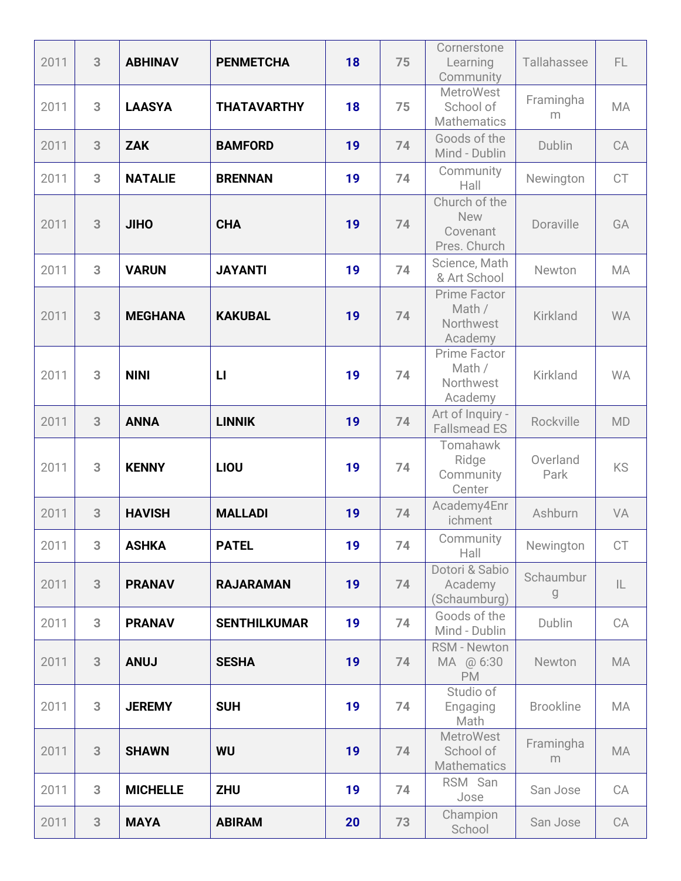| 2011 | 3 | <b>ABHINAV</b>  | <b>PENMETCHA</b>    | 18 | 75 | Cornerstone<br>Learning<br>Community                    | Tallahassee      | FL.           |
|------|---|-----------------|---------------------|----|----|---------------------------------------------------------|------------------|---------------|
| 2011 | 3 | <b>LAASYA</b>   | <b>THATAVARTHY</b>  | 18 | 75 | <b>MetroWest</b><br>School of<br><b>Mathematics</b>     | Framingha<br>m   | <b>MA</b>     |
| 2011 | 3 | <b>ZAK</b>      | <b>BAMFORD</b>      | 19 | 74 | Goods of the<br>Mind - Dublin                           | Dublin           | CA            |
| 2011 | 3 | <b>NATALIE</b>  | <b>BRENNAN</b>      | 19 | 74 | Community<br>Hall                                       | Newington        | CT            |
| 2011 | 3 | <b>JIHO</b>     | <b>CHA</b>          | 19 | 74 | Church of the<br><b>New</b><br>Covenant<br>Pres. Church | Doraville        | GA            |
| 2011 | 3 | <b>VARUN</b>    | <b>JAYANTI</b>      | 19 | 74 | Science, Math<br>& Art School                           | Newton           | <b>MA</b>     |
| 2011 | 3 | <b>MEGHANA</b>  | <b>KAKUBAL</b>      | 19 | 74 | <b>Prime Factor</b><br>Math /<br>Northwest<br>Academy   | <b>Kirkland</b>  | <b>WA</b>     |
| 2011 | 3 | <b>NINI</b>     | $\mathsf{L}$        | 19 | 74 | <b>Prime Factor</b><br>Math /<br>Northwest<br>Academy   | Kirkland         | <b>WA</b>     |
| 2011 | 3 | <b>ANNA</b>     | <b>LINNIK</b>       | 19 | 74 | Art of Inquiry -<br><b>Fallsmead ES</b>                 | Rockville        | <b>MD</b>     |
| 2011 | 3 | <b>KENNY</b>    | LIOU                | 19 | 74 | Tomahawk<br>Ridge<br>Community<br>Center                | Overland<br>Park | KS            |
| 2011 | 3 | <b>HAVISH</b>   | <b>MALLADI</b>      | 19 | 74 | Academy4Enr<br>ichment                                  | Ashburn          | VA            |
| 2011 | 3 | <b>ASHKA</b>    | <b>PATEL</b>        | 19 | 74 | Community<br>Hall                                       | Newington        | CT            |
| 2011 | 3 | <b>PRANAV</b>   | <b>RAJARAMAN</b>    | 19 | 74 | Dotori & Sabio<br>Academy<br>(Schaumburg)               | Schaumbur<br>g   | $\mathsf{IL}$ |
| 2011 | 3 | <b>PRANAV</b>   | <b>SENTHILKUMAR</b> | 19 | 74 | Goods of the<br>Mind - Dublin                           | Dublin           | CA            |
| 2011 | 3 | <b>ANUJ</b>     | <b>SESHA</b>        | 19 | 74 | <b>RSM - Newton</b><br>MA @ 6:30<br><b>PM</b>           | Newton           | MA            |
| 2011 | 3 | <b>JEREMY</b>   | <b>SUH</b>          | 19 | 74 | Studio of<br>Engaging<br>Math                           | <b>Brookline</b> | MA            |
| 2011 | 3 | <b>SHAWN</b>    | <b>WU</b>           | 19 | 74 | <b>MetroWest</b><br>School of<br>Mathematics            | Framingha<br>m   | <b>MA</b>     |
| 2011 | 3 | <b>MICHELLE</b> | <b>ZHU</b>          | 19 | 74 | RSM San<br>Jose                                         | San Jose         | CA            |
| 2011 | 3 | <b>MAYA</b>     | <b>ABIRAM</b>       | 20 | 73 | Champion<br>School                                      | San Jose         | CA            |